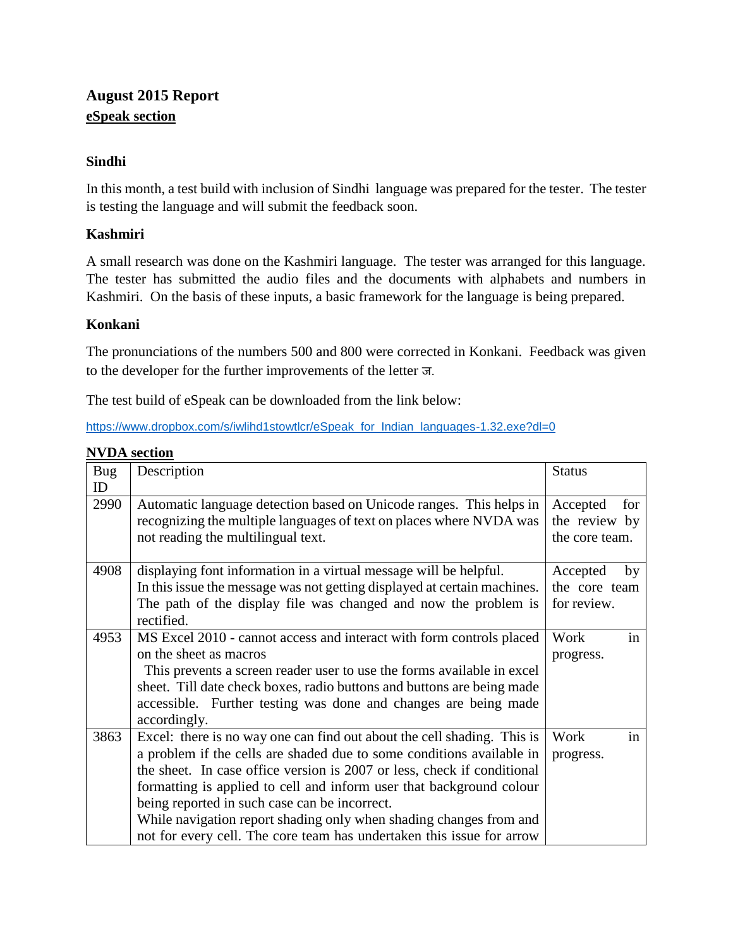# **August 2015 Report eSpeak section**

# **Sindhi**

In this month, a test build with inclusion of Sindhi language was prepared for the tester. The tester is testing the language and will submit the feedback soon.

# **Kashmiri**

A small research was done on the Kashmiri language. The tester was arranged for this language. The tester has submitted the audio files and the documents with alphabets and numbers in Kashmiri. On the basis of these inputs, a basic framework for the language is being prepared.

# **Konkani**

The pronunciations of the numbers 500 and 800 were corrected in Konkani. Feedback was given to the developer for the further improvements of the letter ज.

The test build of eSpeak can be downloaded from the link below:

[https://www.dropbox.com/s/iwlihd1stowtlcr/eSpeak\\_for\\_Indian\\_languages-1.32.exe?dl=0](https://www.dropbox.com/s/iwlihd1stowtlcr/eSpeak_for_Indian_languages-1.32.exe?dl=0)

| Bug<br>ID | Description                                                                                                                                | <b>Status</b>                    |
|-----------|--------------------------------------------------------------------------------------------------------------------------------------------|----------------------------------|
| 2990      | Automatic language detection based on Unicode ranges. This helps in<br>recognizing the multiple languages of text on places where NVDA was | Accepted<br>for<br>the review by |
|           | not reading the multilingual text.                                                                                                         | the core team.                   |
|           |                                                                                                                                            |                                  |
| 4908      | displaying font information in a virtual message will be helpful.                                                                          | Accepted<br>by                   |
|           | In this issue the message was not getting displayed at certain machines.                                                                   | the core team                    |
|           | The path of the display file was changed and now the problem is                                                                            | for review.                      |
|           | rectified.                                                                                                                                 |                                  |
| 4953      | MS Excel 2010 - cannot access and interact with form controls placed                                                                       | in<br>Work                       |
|           | on the sheet as macros                                                                                                                     | progress.                        |
|           | This prevents a screen reader user to use the forms available in excel                                                                     |                                  |
|           | sheet. Till date check boxes, radio buttons and buttons are being made                                                                     |                                  |
|           | accessible. Further testing was done and changes are being made                                                                            |                                  |
|           | accordingly.                                                                                                                               |                                  |
| 3863      | Excel: there is no way one can find out about the cell shading. This is                                                                    | in<br>Work                       |
|           | a problem if the cells are shaded due to some conditions available in                                                                      | progress.                        |
|           | the sheet. In case office version is 2007 or less, check if conditional                                                                    |                                  |
|           | formatting is applied to cell and inform user that background colour                                                                       |                                  |
|           | being reported in such case can be incorrect.                                                                                              |                                  |
|           | While navigation report shading only when shading changes from and                                                                         |                                  |
|           | not for every cell. The core team has undertaken this issue for arrow                                                                      |                                  |

**NVDA section**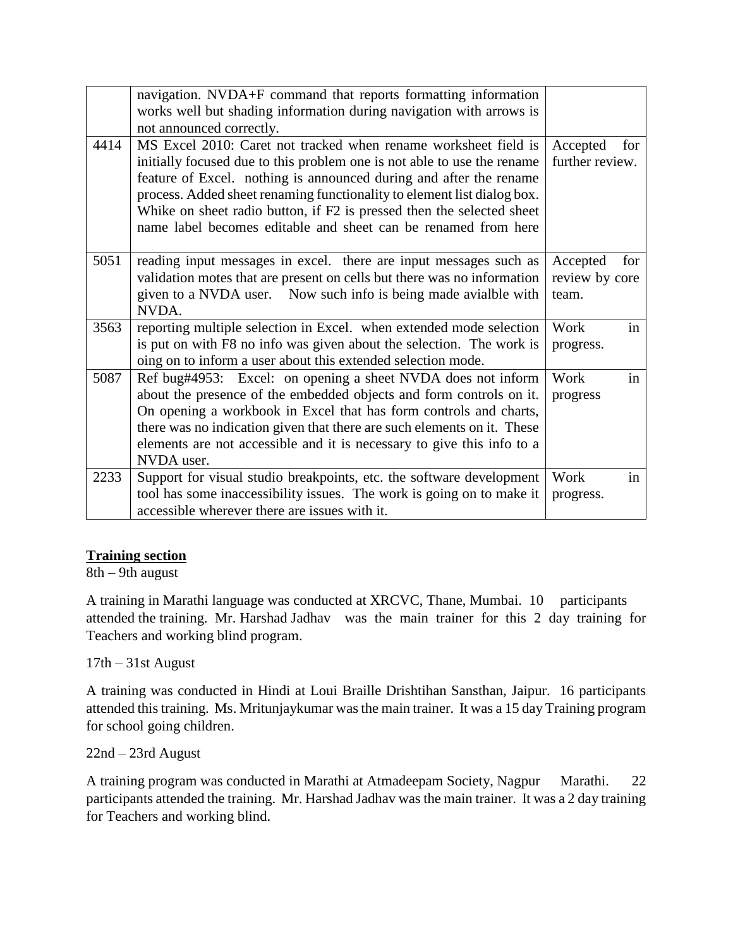|      | navigation. NVDA+F command that reports formatting information<br>works well but shading information during navigation with arrows is<br>not announced correctly.                                                                                                                                                                                                                                                                      |                                            |
|------|----------------------------------------------------------------------------------------------------------------------------------------------------------------------------------------------------------------------------------------------------------------------------------------------------------------------------------------------------------------------------------------------------------------------------------------|--------------------------------------------|
| 4414 | MS Excel 2010: Caret not tracked when rename worksheet field is<br>initially focused due to this problem one is not able to use the rename<br>feature of Excel. nothing is announced during and after the rename<br>process. Added sheet renaming functionality to element list dialog box.<br>Whike on sheet radio button, if F2 is pressed then the selected sheet<br>name label becomes editable and sheet can be renamed from here | Accepted<br>for<br>further review.         |
| 5051 | reading input messages in excel. there are input messages such as<br>validation motes that are present on cells but there was no information<br>given to a NVDA user. Now such info is being made avialble with<br>NVDA.                                                                                                                                                                                                               | for<br>Accepted<br>review by core<br>team. |
| 3563 | reporting multiple selection in Excel. when extended mode selection<br>is put on with F8 no info was given about the selection. The work is<br>oing on to inform a user about this extended selection mode.                                                                                                                                                                                                                            | in<br>Work<br>progress.                    |
| 5087 | Ref bug#4953: Excel: on opening a sheet NVDA does not inform<br>about the presence of the embedded objects and form controls on it.<br>On opening a workbook in Excel that has form controls and charts,<br>there was no indication given that there are such elements on it. These<br>elements are not accessible and it is necessary to give this info to a<br>NVDA user.                                                            | in<br>Work<br>progress                     |
| 2233 | Support for visual studio breakpoints, etc. the software development<br>tool has some inaccessibility issues. The work is going on to make it<br>accessible wherever there are issues with it.                                                                                                                                                                                                                                         | Work<br>in<br>progress.                    |

#### **Training section**

8th – 9th august

A training in Marathi language was conducted at XRCVC, Thane, Mumbai. 10 participants attended the training. Mr. Harshad Jadhav was the main trainer for this 2 day training for Teachers and working blind program.

#### 17th – 31st August

A training was conducted in Hindi at Loui Braille Drishtihan Sansthan, Jaipur. 16 participants attended this training. Ms. Mritunjaykumar was the main trainer. It was a 15 day Training program for school going children.

#### 22nd – 23rd August

A training program was conducted in Marathi at Atmadeepam Society, Nagpur Marathi. 22 participants attended the training. Mr. Harshad Jadhav was the main trainer. It was a 2 day training for Teachers and working blind.